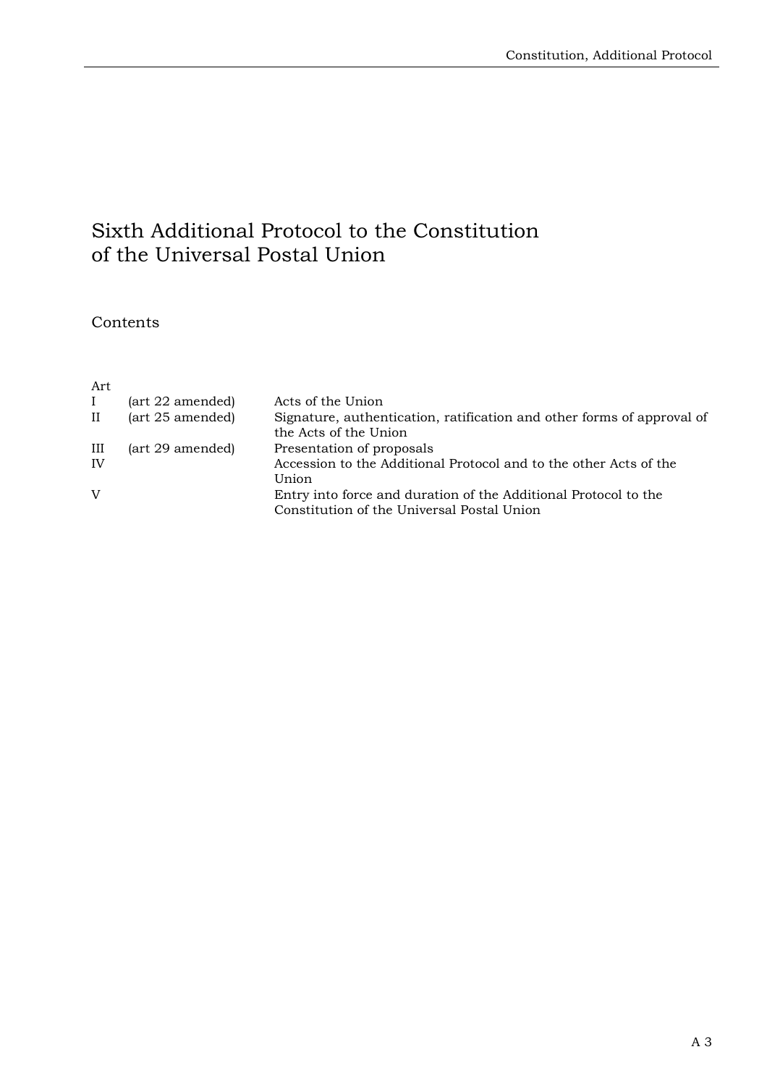# Sixth Additional Protocol to the Constitution of the Universal Postal Union

### **Contents**

### Art

|           | (art 22 amended) | Acts of the Union                                                      |
|-----------|------------------|------------------------------------------------------------------------|
| $\rm{II}$ | (art 25 amended) | Signature, authentication, ratification and other forms of approval of |
|           |                  | the Acts of the Union                                                  |
| Ш         | (art 29 amended) | Presentation of proposals                                              |
| IV        |                  | Accession to the Additional Protocol and to the other Acts of the      |
|           |                  | Union                                                                  |
| V         |                  | Entry into force and duration of the Additional Protocol to the        |
|           |                  | Constitution of the Universal Postal Union                             |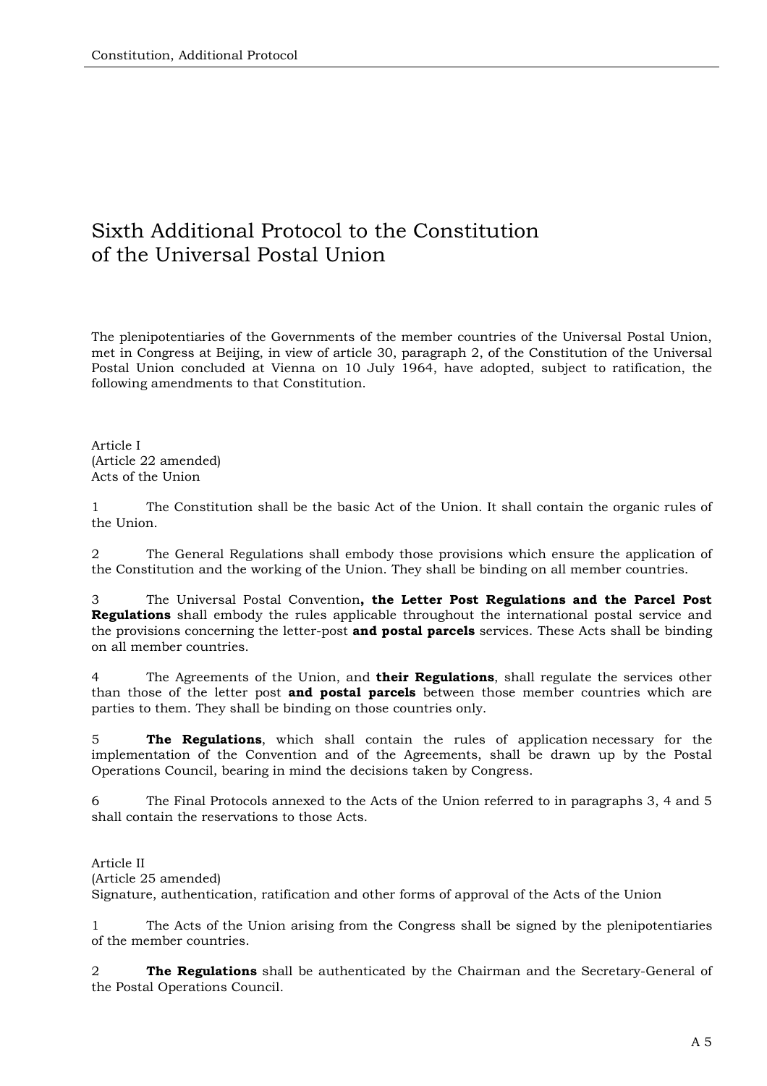## Sixth Additional Protocol to the Constitution of the Universal Postal Union

The plenipotentiaries of the Governments of the member countries of the Universal Postal Union, met in Congress at Beijing, in view of article 30, paragraph 2, of the Constitution of the Universal Postal Union concluded at Vienna on 10 July 1964, have adopted, subject to ratification, the following amendments to that Constitution.

Article I (Article 22 amended) Acts of the Union

1 The Constitution shall be the basic Act of the Union. It shall contain the organic rules of the Union.

2 The General Regulations shall embody those provisions which ensure the application of the Constitution and the working of the Union. They shall be binding on all member countries.

3 The Universal Postal Convention**, the Letter Post Regulations and the Parcel Post Regulations** shall embody the rules applicable throughout the international postal service and the provisions concerning the letter-post **and postal parcels** services. These Acts shall be binding on all member countries.

4 The Agreements of the Union, and **their Regulations**, shall regulate the services other than those of the letter post **and postal parcels** between those member countries which are parties to them. They shall be binding on those countries only.

5 **The Regulations**, which shall contain the rules of application necessary for the implementation of the Convention and of the Agreements, shall be drawn up by the Postal Operations Council, bearing in mind the decisions taken by Congress.

6 The Final Protocols annexed to the Acts of the Union referred to in paragraphs 3, 4 and 5 shall contain the reservations to those Acts.

Article II (Article 25 amended) Signature, authentication, ratification and other forms of approval of the Acts of the Union

1 The Acts of the Union arising from the Congress shall be signed by the plenipotentiaries of the member countries.

2 **The Regulations** shall be authenticated by the Chairman and the Secretary-General of the Postal Operations Council.